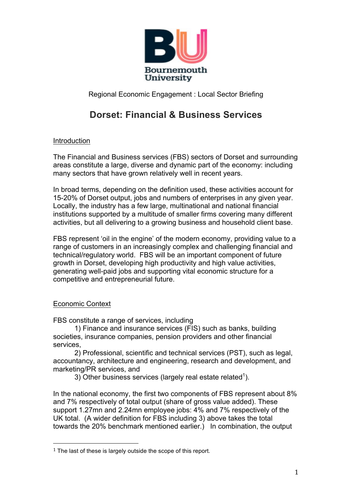

# **Dorset: Financial & Business Services**

# Introduction

The Financial and Business services (FBS) sectors of Dorset and surrounding areas constitute a large, diverse and dynamic part of the economy: including many sectors that have grown relatively well in recent years.

In broad terms, depending on the definition used, these activities account for 15-20% of Dorset output, jobs and numbers of enterprises in any given year. Locally, the industry has a few large, multinational and national financial institutions supported by a multitude of smaller firms covering many different activities, but all delivering to a growing business and household client base.

FBS represent 'oil in the engine' of the modern economy, providing value to a range of customers in an increasingly complex and challenging financial and technical/regulatory world. FBS will be an important component of future growth in Dorset, developing high productivity and high value activities, generating well-paid jobs and supporting vital economic structure for a competitive and entrepreneurial future.

# Economic Context

FBS constitute a range of services, including

1) Finance and insurance services (FIS) such as banks, building societies, insurance companies, pension providers and other financial services,

2) Professional, scientific and technical services (PST), such as legal, accountancy, architecture and engineering, research and development, and marketing/PR services, and

3) Other business services (largely real estate related<sup>1</sup>).

In the national economy, the first two components of FBS represent about 8% and 7% respectively of total output (share of gross value added). These support 1.27mn and 2.24mn employee jobs: 4% and 7% respectively of the UK total. (A wider definition for FBS including 3) above takes the total towards the 20% benchmark mentioned earlier.) In combination, the output

 

 $1$  The last of these is largely outside the scope of this report.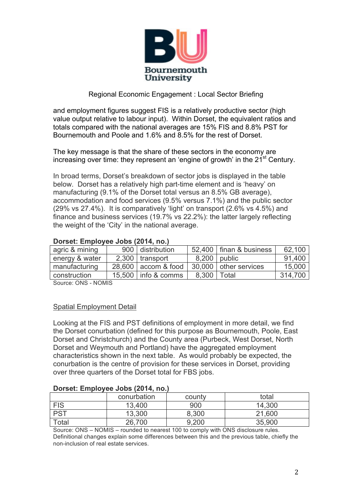

and employment figures suggest FIS is a relatively productive sector (high value output relative to labour input). Within Dorset, the equivalent ratios and totals compared with the national averages are 15% FIS and 8.8% PST for Bournemouth and Poole and 1.6% and 8.5% for the rest of Dorset.

The key message is that the share of these sectors in the economy are increasing over time: they represent an 'engine of growth' in the  $21<sup>st</sup>$  Century.

In broad terms, Dorset's breakdown of sector jobs is displayed in the table below. Dorset has a relatively high part-time element and is 'heavy' on manufacturing (9.1% of the Dorset total versus an 8.5% GB average), accommodation and food services (9.5% versus 7.1%) and the public sector (29% vs 27.4%). It is comparatively 'light' on transport (2.6% vs 4.5%) and finance and business services (19.7% vs 22.2%): the latter largely reflecting the weight of the 'City' in the national average.

| agric & mining |  | 900 distribution      |               | 52,400   finan & business | 62,100  |  |
|----------------|--|-----------------------|---------------|---------------------------|---------|--|
| energy & water |  | $2,300$ transport     |               | 8,200   public            | 91,400  |  |
| manufacturing  |  | $28,600$ accom & food |               | 30,000   other services   | 15,000  |  |
| construction   |  | 15,500   info & comms | 8,300   Total |                           | 314,700 |  |
|                |  |                       |               |                           |         |  |

#### **Dorset: Employee Jobs (2014, no.)**

Source: ONS - NOMIS

## Spatial Employment Detail

Looking at the FIS and PST definitions of employment in more detail, we find the Dorset conurbation (defined for this purpose as Bournemouth, Poole, East Dorset and Christchurch) and the County area (Purbeck, West Dorset, North Dorset and Weymouth and Portland) have the aggregated employment characteristics shown in the next table. As would probably be expected, the conurbation is the centre of provision for these services in Dorset, providing over three quarters of the Dorset total for FBS jobs.

#### **Dorset: Employee Jobs (2014, no.)**

|            | conurbation | county | total  |
|------------|-------------|--------|--------|
| <b>FIS</b> | 13,400      | 900    | 14,300 |
| PST        | 13,300      | 8,300  | 21,600 |
| Total      | 26,700      | 9,200  | 35,900 |

Source: ONS – NOMIS – rounded to nearest 100 to comply with ONS disclosure rules. Definitional changes explain some differences between this and the previous table, chiefly the non-inclusion of real estate services.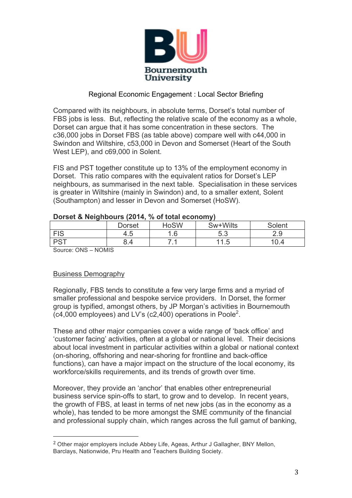

Compared with its neighbours, in absolute terms, Dorset's total number of FBS jobs is less. But, reflecting the relative scale of the economy as a whole, Dorset can argue that it has some concentration in these sectors. The c36,000 jobs in Dorset FBS (as table above) compare well with c44,000 in Swindon and Wiltshire, c53,000 in Devon and Somerset (Heart of the South West LEP), and c69,000 in Solent.

FIS and PST together constitute up to 13% of the employment economy in Dorset. This ratio compares with the equivalent ratios for Dorset's LEP neighbours, as summarised in the next table. Specialisation in these services is greater in Wiltshire (mainly in Swindon) and, to a smaller extent, Solent (Southampton) and lesser in Devon and Somerset (HoSW).

| ----          |        |                  |                     |        |  |
|---------------|--------|------------------|---------------------|--------|--|
|               | Dorset | <b>HoSW</b>      | Sw+Wilts            | Solent |  |
| <b>FIS</b>    | 4.5    | <b>G</b><br>ט. ו | にっ<br>J.J           | 2.9    |  |
| $DC^+$<br>−౦. | 8.4    | .                | -<br>44<br>h<br>ں . | 0.4    |  |
| ________      |        |                  |                     |        |  |

#### **Dorset & Neighbours (2014, % of total economy)**

Source: ONS – NOMIS

## Business Demography

 

Regionally, FBS tends to constitute a few very large firms and a myriad of smaller professional and bespoke service providers. In Dorset, the former group is typified, amongst others, by JP Morgan's activities in Bournemouth  $(c4,000$  employees) and LV's  $(c2,400)$  operations in Poole<sup>2</sup>.

These and other major companies cover a wide range of 'back office' and 'customer facing' activities, often at a global or national level. Their decisions about local investment in particular activities within a global or national context (on-shoring, offshoring and near-shoring for frontline and back-office functions), can have a major impact on the structure of the local economy, its workforce/skills requirements, and its trends of growth over time.

Moreover, they provide an 'anchor' that enables other entrepreneurial business service spin-offs to start, to grow and to develop. In recent years, the growth of FBS, at least in terms of net new jobs (as in the economy as a whole), has tended to be more amongst the SME community of the financial and professional supply chain, which ranges across the full gamut of banking,

<sup>2</sup> Other major employers include Abbey Life, Ageas, Arthur J Gallagher, BNY Mellon, Barclays, Nationwide, Pru Health and Teachers Building Society.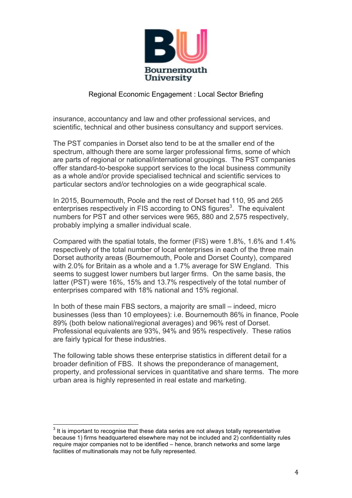

insurance, accountancy and law and other professional services, and scientific, technical and other business consultancy and support services.

The PST companies in Dorset also tend to be at the smaller end of the spectrum, although there are some larger professional firms, some of which are parts of regional or national/international groupings. The PST companies offer standard-to-bespoke support services to the local business community as a whole and/or provide specialised technical and scientific services to particular sectors and/or technologies on a wide geographical scale.

In 2015, Bournemouth, Poole and the rest of Dorset had 110, 95 and 265 enterprises respectively in FIS according to ONS figures<sup>3</sup>. The equivalent numbers for PST and other services were 965, 880 and 2,575 respectively, probably implying a smaller individual scale.

Compared with the spatial totals, the former (FIS) were 1.8%, 1.6% and 1.4% respectively of the total number of local enterprises in each of the three main Dorset authority areas (Bournemouth, Poole and Dorset County), compared with 2.0% for Britain as a whole and a 1.7% average for SW England. This seems to suggest lower numbers but larger firms. On the same basis, the latter (PST) were 16%, 15% and 13.7% respectively of the total number of enterprises compared with 18% national and 15% regional.

In both of these main FBS sectors, a majority are small – indeed, micro businesses (less than 10 employees): i.e. Bournemouth 86% in finance, Poole 89% (both below national/regional averages) and 96% rest of Dorset. Professional equivalents are 93%, 94% and 95% respectively. These ratios are fairly typical for these industries.

The following table shows these enterprise statistics in different detail for a broader definition of FBS. It shows the preponderance of management, property, and professional services in quantitative and share terms. The more urban area is highly represented in real estate and marketing.

 $3$  It is important to recognise that these data series are not always totally representative because 1) firms headquartered elsewhere may not be included and 2) confidentiality rules require major companies not to be identified – hence, branch networks and some large facilities of multinationals may not be fully represented.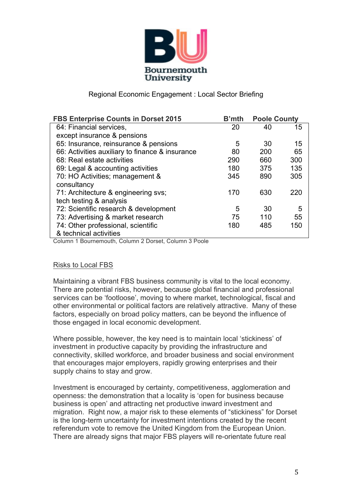

| <b>FBS Enterprise Counts in Dorset 2015</b>     | <b>B'mth</b> | <b>Poole County</b> |     |
|-------------------------------------------------|--------------|---------------------|-----|
| 64: Financial services,                         | 20           | 40                  | 15  |
| except insurance & pensions                     |              |                     |     |
| 65: Insurance, reinsurance & pensions           | 5            | 30                  | 15  |
| 66: Activities auxiliary to finance & insurance | 80           | 200                 | 65  |
| 68: Real estate activities                      | 290          | 660                 | 300 |
| 69: Legal & accounting activities               | 180          | 375                 | 135 |
| 70: HO Activities; management &                 | 345          | 890                 | 305 |
| consultancy                                     |              |                     |     |
| 71: Architecture & engineering svs;             | 170          | 630                 | 220 |
| tech testing & analysis                         |              |                     |     |
| 72: Scientific research & development           | 5            | 30                  | 5   |
| 73: Advertising & market research               | 75           | 110                 | 55  |
| 74: Other professional, scientific              | 180          | 485                 | 150 |
| & technical activities                          |              |                     |     |

Column 1 Bournemouth, Column 2 Dorset, Column 3 Poole

## Risks to Local FBS

Maintaining a vibrant FBS business community is vital to the local economy. There are potential risks, however, because global financial and professional services can be 'footloose', moving to where market, technological, fiscal and other environmental or political factors are relatively attractive. Many of these factors, especially on broad policy matters, can be beyond the influence of those engaged in local economic development.

Where possible, however, the key need is to maintain local 'stickiness' of investment in productive capacity by providing the infrastructure and connectivity, skilled workforce, and broader business and social environment that encourages major employers, rapidly growing enterprises and their supply chains to stay and grow.

Investment is encouraged by certainty, competitiveness, agglomeration and openness: the demonstration that a locality is 'open for business because business is open' and attracting net productive inward investment and migration. Right now, a major risk to these elements of "stickiness" for Dorset is the long-term uncertainty for investment intentions created by the recent referendum vote to remove the United Kingdom from the European Union. There are already signs that major FBS players will re-orientate future real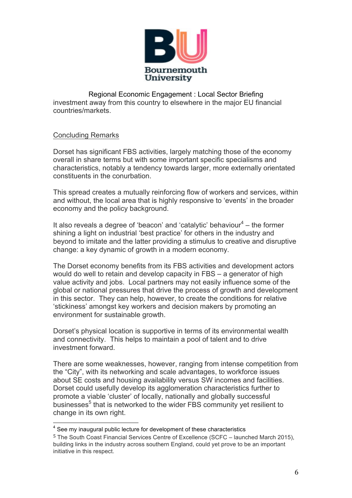

Regional Economic Engagement : Local Sector Briefing investment away from this country to elsewhere in the major EU financial countries/markets.

# Concluding Remarks

Dorset has significant FBS activities, largely matching those of the economy overall in share terms but with some important specific specialisms and characteristics, notably a tendency towards larger, more externally orientated constituents in the conurbation.

This spread creates a mutually reinforcing flow of workers and services, within and without, the local area that is highly responsive to 'events' in the broader economy and the policy background.

It also reveals a degree of 'beacon' and 'catalytic' behaviour<sup>4</sup> – the former shining a light on industrial 'best practice' for others in the industry and beyond to imitate and the latter providing a stimulus to creative and disruptive change: a key dynamic of growth in a modern economy.

The Dorset economy benefits from its FBS activities and development actors would do well to retain and develop capacity in FBS – a generator of high value activity and jobs. Local partners may not easily influence some of the global or national pressures that drive the process of growth and development in this sector. They can help, however, to create the conditions for relative 'stickiness' amongst key workers and decision makers by promoting an environment for sustainable growth.

Dorset's physical location is supportive in terms of its environmental wealth and connectivity. This helps to maintain a pool of talent and to drive investment forward.

There are some weaknesses, however, ranging from intense competition from the "City", with its networking and scale advantages, to workforce issues about SE costs and housing availability versus SW incomes and facilities. Dorset could usefully develop its agglomeration characteristics further to promote a viable 'cluster' of locally, nationally and globally successful businesses<sup>5</sup> that is networked to the wider FBS community yet resilient to change in its own right.

<sup>&</sup>lt;sup>4</sup> See my inaugural public lecture for development of these characteristics

<sup>5</sup> The South Coast Financial Services Centre of Excellence (SCFC – launched March 2015), building links in the industry across southern England, could yet prove to be an important initiative in this respect.